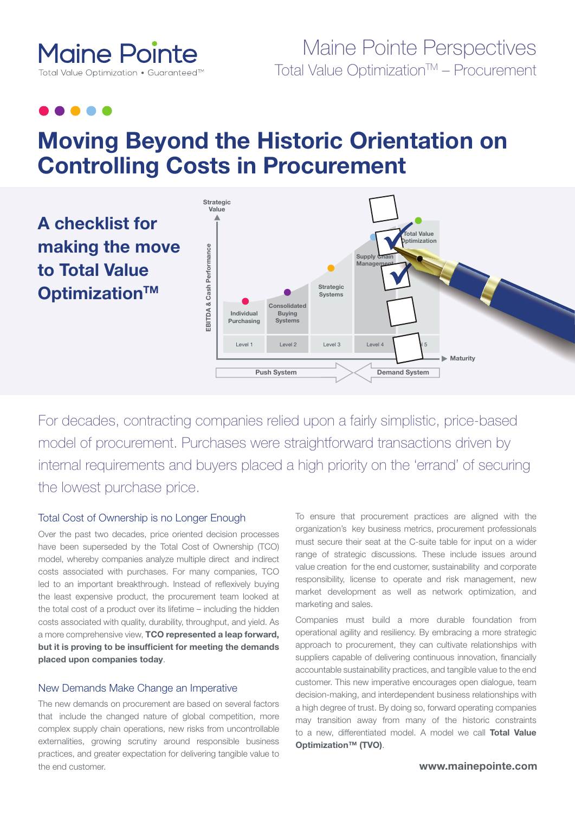

# Maine Pointe Perspectives Total Value Optimization™ – Procurement

# **Moving Beyond the Historic Orientation on Controlling Costs in Procurement**



For decades, contracting companies relied upon a fairly simplistic, price-based model of procurement. Purchases were straightforward transactions driven by internal requirements and buyers placed a high priority on the 'errand' of securing the lowest purchase price.

#### Total Cost of Ownership is no Longer Enough

Over the past two decades, price oriented decision processes have been superseded by the Total Cost of Ownership (TCO) model, whereby companies analyze multiple direct and indirect costs associated with purchases. For many companies, TCO led to an important breakthrough. Instead of reflexively buying the least expensive product, the procurement team looked at the total cost of a product over its lifetime – including the hidden costs associated with quality, durability, throughput, and yield. As a more comprehensive view, **TCO represented a leap forward, but it is proving to be insufficient for meeting the demands placed upon companies today**.

#### New Demands Make Change an Imperative

The new demands on procurement are based on several factors that include the changed nature of global competition, more complex supply chain operations, new risks from uncontrollable externalities, growing scrutiny around responsible business practices, and greater expectation for delivering tangible value to the end customer.

To ensure that procurement practices are aligned with the organization's key business metrics, procurement professionals must secure their seat at the C-suite table for input on a wider range of strategic discussions. These include issues around value creation for the end customer, sustainability and corporate responsibility, license to operate and risk management, new market development as well as network optimization, and marketing and sales.

Companies must build a more durable foundation from operational agility and resiliency. By embracing a more strategic approach to procurement, they can cultivate relationships with suppliers capable of delivering continuous innovation, financially accountable sustainability practices, and tangible value to the end customer. This new imperative encourages open dialogue, team decision-making, and interdependent business relationships with a high degree of trust. By doing so, forward operating companies may transition away from many of the historic constraints to a new, differentiated model. A model we call **Total Value Optimization™ (TVO)**.